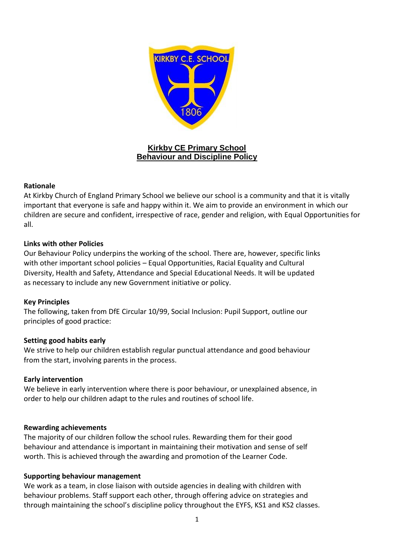

## **Kirkby CE Primary School Behaviour and Discipline Policy**

#### **Rationale**

At Kirkby Church of England Primary School we believe our school is a community and that it is vitally important that everyone is safe and happy within it. We aim to provide an environment in which our children are secure and confident, irrespective of race, gender and religion, with Equal Opportunities for all.

#### **Links with other Policies**

Our Behaviour Policy underpins the working of the school. There are, however, specific links with other important school policies – Equal Opportunities, Racial Equality and Cultural Diversity, Health and Safety, Attendance and Special Educational Needs. It will be updated as necessary to include any new Government initiative or policy.

#### **Key Principles**

The following, taken from DfE Circular 10/99, Social Inclusion: Pupil Support, outline our principles of good practice:

### **Setting good habits early**

We strive to help our children establish regular punctual attendance and good behaviour from the start, involving parents in the process.

#### **Early intervention**

We believe in early intervention where there is poor behaviour, or unexplained absence, in order to help our children adapt to the rules and routines of school life.

#### **Rewarding achievements**

The majority of our children follow the school rules. Rewarding them for their good behaviour and attendance is important in maintaining their motivation and sense of self worth. This is achieved through the awarding and promotion of the Learner Code.

#### **Supporting behaviour management**

We work as a team, in close liaison with outside agencies in dealing with children with behaviour problems. Staff support each other, through offering advice on strategies and through maintaining the school's discipline policy throughout the EYFS, KS1 and KS2 classes.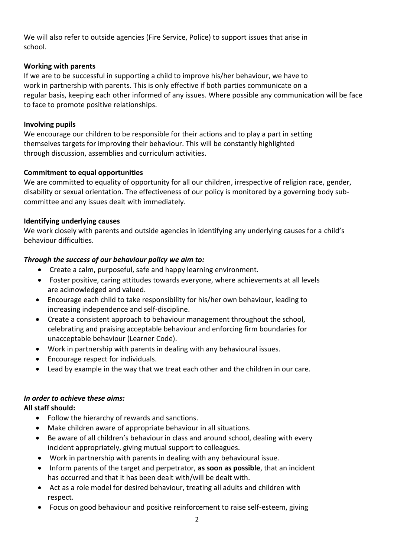We will also refer to outside agencies (Fire Service, Police) to support issues that arise in school.

## **Working with parents**

If we are to be successful in supporting a child to improve his/her behaviour, we have to work in partnership with parents. This is only effective if both parties communicate on a regular basis, keeping each other informed of any issues. Where possible any communication will be face to face to promote positive relationships.

## **Involving pupils**

We encourage our children to be responsible for their actions and to play a part in setting themselves targets for improving their behaviour. This will be constantly highlighted through discussion, assemblies and curriculum activities.

# **Commitment to equal opportunities**

We are committed to equality of opportunity for all our children, irrespective of religion race, gender, disability or sexual orientation. The effectiveness of our policy is monitored by a governing body subcommittee and any issues dealt with immediately.

## **Identifying underlying causes**

We work closely with parents and outside agencies in identifying any underlying causes for a child's behaviour difficulties.

# *Through the success of our behaviour policy we aim to:*

- Create a calm, purposeful, safe and happy learning environment.
- Foster positive, caring attitudes towards everyone, where achievements at all levels are acknowledged and valued.
- Encourage each child to take responsibility for his/her own behaviour, leading to increasing independence and self-discipline.
- Create a consistent approach to behaviour management throughout the school, celebrating and praising acceptable behaviour and enforcing firm boundaries for unacceptable behaviour (Learner Code).
- Work in partnership with parents in dealing with any behavioural issues.
- Encourage respect for individuals.
- Lead by example in the way that we treat each other and the children in our care.

# *In order to achieve these aims:*

# **All staff should:**

- Follow the hierarchy of rewards and sanctions.
- Make children aware of appropriate behaviour in all situations.
- Be aware of all children's behaviour in class and around school, dealing with every incident appropriately, giving mutual support to colleagues.
- Work in partnership with parents in dealing with any behavioural issue.
- Inform parents of the target and perpetrator, **as soon as possible**, that an incident has occurred and that it has been dealt with/will be dealt with.
- Act as a role model for desired behaviour, treating all adults and children with respect.
- Focus on good behaviour and positive reinforcement to raise self-esteem, giving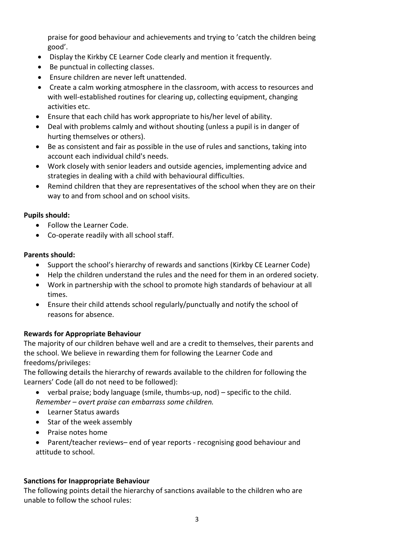praise for good behaviour and achievements and trying to 'catch the children being good'.

- Display the Kirkby CE Learner Code clearly and mention it frequently.
- Be punctual in collecting classes.
- Ensure children are never left unattended.
- Create a calm working atmosphere in the classroom, with access to resources and with well-established routines for clearing up, collecting equipment, changing activities etc.
- Ensure that each child has work appropriate to his/her level of ability.
- Deal with problems calmly and without shouting (unless a pupil is in danger of hurting themselves or others).
- Be as consistent and fair as possible in the use of rules and sanctions, taking into account each individual child's needs.
- Work closely with senior leaders and outside agencies, implementing advice and strategies in dealing with a child with behavioural difficulties.
- Remind children that they are representatives of the school when they are on their way to and from school and on school visits.

### **Pupils should:**

- Follow the Learner Code.
- Co-operate readily with all school staff.

#### **Parents should:**

- Support the school's hierarchy of rewards and sanctions (Kirkby CE Learner Code)
- Help the children understand the rules and the need for them in an ordered society.
- Work in partnership with the school to promote high standards of behaviour at all times.
- Ensure their child attends school regularly/punctually and notify the school of reasons for absence.

### **Rewards for Appropriate Behaviour**

The majority of our children behave well and are a credit to themselves, their parents and the school. We believe in rewarding them for following the Learner Code and freedoms/privileges:

The following details the hierarchy of rewards available to the children for following the Learners' Code (all do not need to be followed):

- verbal praise; body language (smile, thumbs-up, nod) specific to the child. *Remember – overt praise can embarrass some children.*
- Learner Status awards
- Star of the week assembly
- Praise notes home
- Parent/teacher reviews– end of year reports recognising good behaviour and attitude to school.

### **Sanctions for Inappropriate Behaviour**

The following points detail the hierarchy of sanctions available to the children who are unable to follow the school rules: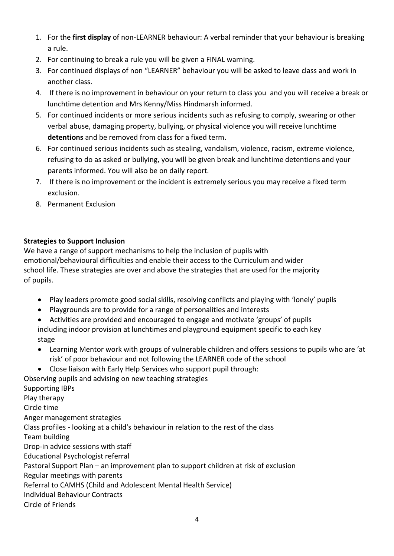- 1. For the **first display** of non-LEARNER behaviour: A verbal reminder that your behaviour is breaking a rule.
- 2. For continuing to break a rule you will be given a FINAL warning.
- 3. For continued displays of non "LEARNER" behaviour you will be asked to leave class and work in another class.
- 4. If there is no improvement in behaviour on your return to class you and you will receive a break or lunchtime detention and Mrs Kenny/Miss Hindmarsh informed.
- 5. For continued incidents or more serious incidents such as refusing to comply, swearing or other verbal abuse, damaging property, bullying, or physical violence you will receive lunchtime **detentions** and be removed from class for a fixed term.
- 6. For continued serious incidents such as stealing, vandalism, violence, racism, extreme violence, refusing to do as asked or bullying, you will be given break and lunchtime detentions and your parents informed. You will also be on daily report.
- 7. If there is no improvement or the incident is extremely serious you may receive a fixed term exclusion.
- 8. Permanent Exclusion

# **Strategies to Support Inclusion**

We have a range of support mechanisms to help the inclusion of pupils with emotional/behavioural difficulties and enable their access to the Curriculum and wider school life. These strategies are over and above the strategies that are used for the majority of pupils.

- Play leaders promote good social skills, resolving conflicts and playing with 'lonely' pupils
- Playgrounds are to provide for a range of personalities and interests
- Activities are provided and encouraged to engage and motivate 'groups' of pupils including indoor provision at lunchtimes and playground equipment specific to each key stage
- Learning Mentor work with groups of vulnerable children and offers sessions to pupils who are 'at risk' of poor behaviour and not following the LEARNER code of the school
- Close liaison with Early Help Services who support pupil through:
- Observing pupils and advising on new teaching strategies Supporting IBPs Play therapy Circle time Anger management strategies Class profiles - looking at a child's behaviour in relation to the rest of the class Team building Drop-in advice sessions with staff Educational Psychologist referral Pastoral Support Plan – an improvement plan to support children at risk of exclusion Regular meetings with parents Referral to CAMHS (Child and Adolescent Mental Health Service) Individual Behaviour Contracts Circle of Friends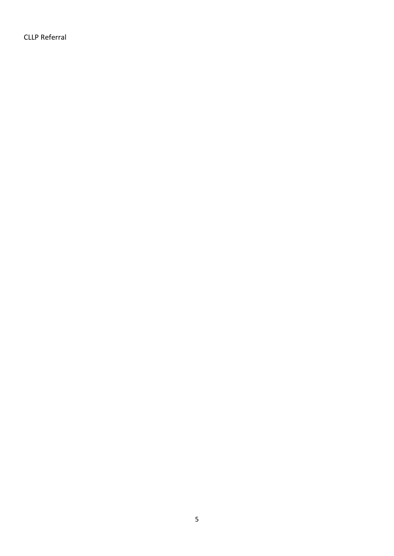CLLP Referral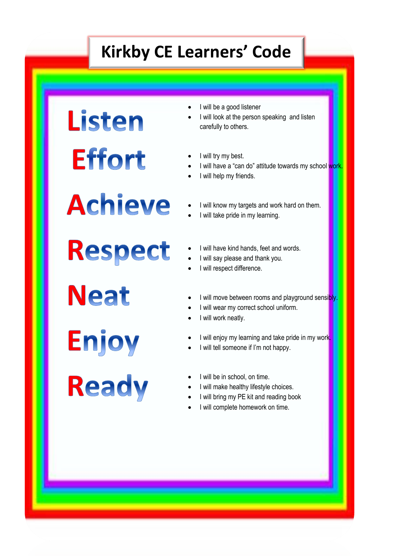# **Kirkby CE Learners' Code**

**Listen Effort** 

- I will be a good listener
- I will look at the person speaking and listen carefully to others.
- I will try my best.
- I will have a "can do" attitude towards my school work
- I will help my friends.
- I will know my targets and work hard on them.
- I will take pride in my learning.

Respect

**Achieve** 

**Neat** 

**Enjoy** 

**Ready** 

- I will have kind hands, feet and words.
- I will say please and thank you.
- I will respect difference.
- I will move between rooms and playground sensibly.
- I will wear my correct school uniform.
- I will work neatly.

6

- I will enjoy my learning and take pride in my work.
- I will tell someone if I'm not happy.
- I will be in school, on time.
- I will make healthy lifestyle choices.
- I will bring my PE kit and reading book
- I will complete homework on time.